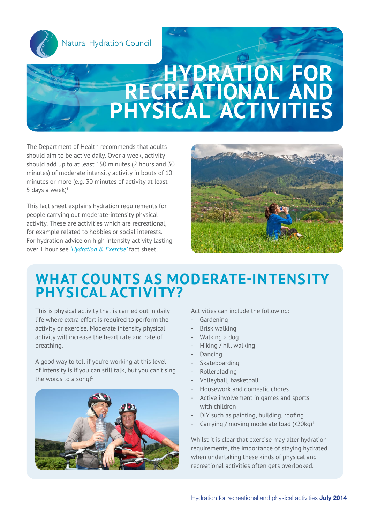

Natural Hydration Council

### **Hydration for recreational and physical activities** Natural Hydration Council

The Department of Health recommends that adults should aim to be active daily. Over a week, activity should add up to at least 150 minutes (2 hours and 30 minutes) of moderate intensity activity in bouts of 10 minutes or more (e.g. 30 minutes of activity at least 5 days a week $)^1$ .

This fact sheet explains hydration requirements for people carrying out moderate-intensity physical activity. These are activities which are recreational, for example related to hobbies or social interests. For hydration advice on high intensity activity lasting over 1 hour see *'Hydration & Exercise'* fact sheet.



### **What counts as moderate-intensity physical activity?**

This is physical activity that is carried out in daily life where extra effort is required to perform the activity or exercise. Moderate intensity physical activity will increase the heart rate and rate of breathing.

A good way to tell if you're working at this level of intensity is if you can still talk, but you can't sing the words to a song! $1$ 



Activities can include the following:

- Gardening
- Brisk walking
- Walking a dog
- Hiking / hill walking
- Dancing
- Skateboarding
- Rollerblading
- Volleyball, basketball
- Housework and domestic chores
- Active involvement in games and sports with children
- DIY such as painting, building, roofing
- Carrying / moving moderate load  $\langle$ <20kg)<sup>1</sup>

Whilst it is clear that exercise may alter hydration requirements, the importance of staying hydrated when undertaking these kinds of physical and recreational activities often gets overlooked.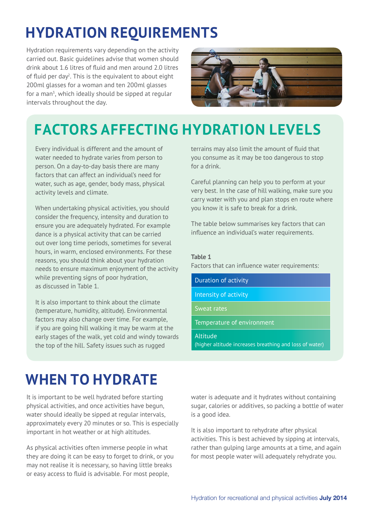## **Hydration requirements**

Hydration requirements vary depending on the activity carried out. Basic guidelines advise that women should drink about 1.6 litres of fluid and men around 2.0 litres of fluid per day<sup>2</sup>. This is the equivalent to about eight 200ml glasses for a woman and ten 200ml glasses for a man<sup>3</sup>, which ideally should be sipped at regular intervals throughout the day.



# **Factors affecting hydration levels**

Every individual is different and the amount of water needed to hydrate varies from person to person. On a day-to-day basis there are many factors that can affect an individual's need for water, such as age, gender, body mass, physical activity levels and climate.

When undertaking physical activities, you should consider the frequency, intensity and duration to ensure you are adequately hydrated. For example dance is a physical activity that can be carried out over long time periods, sometimes for several hours, in warm, enclosed environments. For these reasons, you should think about your hydration needs to ensure maximum enjoyment of the activity while preventing signs of poor hydration, as discussed in Table 1.

It is also important to think about the climate (temperature, humidity, altitude). Environmental factors may also change over time. For example, if you are going hill walking it may be warm at the early stages of the walk, yet cold and windy towards the top of the hill. Safety issues such as rugged

terrains may also limit the amount of fluid that you consume as it may be too dangerous to stop for a drink.

Careful planning can help you to perform at your very best. In the case of hill walking, make sure you carry water with you and plan stops en route where you know it is safe to break for a drink.

The table below summarises key factors that can influence an individual's water requirements.

#### **Table 1**

Factors that can influence water requirements:

Duration of activity

Intensity of activity

Sweat rates

Temperature of environment

Altitude

(higher altitude increases breathing and loss of water)

## **When to hydrate**

It is important to be well hydrated before starting physical activities, and once activities have begun, water should ideally be sipped at regular intervals, approximately every 20 minutes or so. This is especially important in hot weather or at high altitudes.

As physical activities often immerse people in what they are doing it can be easy to forget to drink, or you may not realise it is necessary, so having little breaks or easy access to fluid is advisable. For most people,

water is adequate and it hydrates without containing sugar, calories or additives, so packing a bottle of water is a good idea.

It is also important to rehydrate after physical activities. This is best achieved by sipping at intervals, rather than gulping large amounts at a time, and again for most people water will adequately rehydrate you.